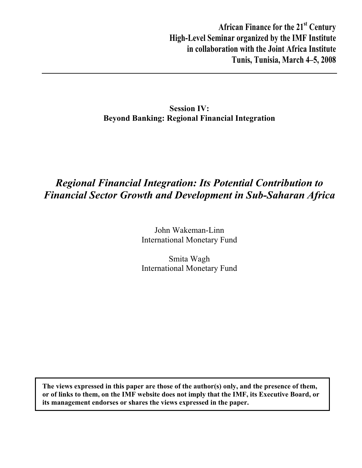**African Finance for the 21st Century High-Level Seminar organized by the IMF Institute in collaboration with the Joint Africa Institute Tunis, Tunisia, March 4–5, 2008** 

## **Session IV: Beyond Banking: Regional Financial Integration**

# *Regional Financial Integration: Its Potential Contribution to Financial Sector Growth and Development in Sub-Saharan Africa*

John Wakeman-Linn International Monetary Fund

Smita Wagh International Monetary Fund

**The views expressed in this paper are those of the author(s) only, and the presence of them, or of links to them, on the IMF website does not imply that the IMF, its Executive Board, or its management endorses or shares the views expressed in the paper.**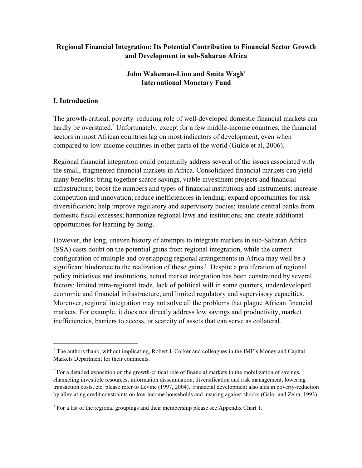## **Regional Financial Integration: Its Potential Contribution to Financial Sector Growth and Development in sub-Saharan Africa**

## **John Wakeman-Linn and Smita Wagh1 International Monetary Fund**

## **I. Introduction**

The growth-critical, poverty–reducing role of well-developed domestic financial markets can hardly be overstated.<sup>2</sup> Unfortunately, except for a few middle-income countries, the financial sectors in most African countries lag on most indicators of development, even when compared to low-income countries in other parts of the world (Gulde et al, 2006).

Regional financial integration could potentially address several of the issues associated with the small, fragmented financial markets in Africa. Consolidated financial markets can yield many benefits: bring together scarce savings, viable investment projects and financial infrastructure; boost the numbers and types of financial institutions and instruments; increase competition and innovation; reduce inefficiencies in lending; expand opportunities for risk diversification; help improve regulatory and supervisory bodies; insulate central banks from domestic fiscal excesses; harmonize regional laws and institutions; and create additional opportunities for learning by doing.

However, the long, uneven history of attempts to integrate markets in sub-Saharan Africa (SSA) casts doubt on the potential gains from regional integration, while the current configuration of multiple and overlapping regional arrangements in Africa may well be a significant hindrance to the realization of these gains.<sup>3</sup> Despite a proliferation of regional policy initiatives and institutions, actual market integration has been constrained by several factors: limited intra-regional trade, lack of political will in some quarters, underdeveloped economic and financial infrastructure, and limited regulatory and supervisory capacities. Moreover, regional integration may not solve all the problems that plague African financial markets. For example, it does not directly address low savings and productivity, market inefficiencies, barriers to access, or scarcity of assets that can serve as collateral.

<sup>&</sup>lt;sup>1</sup> The authors thank, without implicating, Robert J. Corker and colleagues in the IMF's Money and Capital Markets Department for their comments.

 $2^{2}$  For a detailed exposition on the growth-critical role of financial markets in the mobilization of savings, channeling investible resources, information dissemination, diversification and risk management, lowering transaction costs, etc. please refer to Levine (1997, 2004). Financial development also aids in poverty-reduction by alleviating credit constraints on low-income households and insuring against shocks (Galor and Zeira, 1993)

 $3$  For a list of the regional groupings and their membership please see Appendix Chart 1.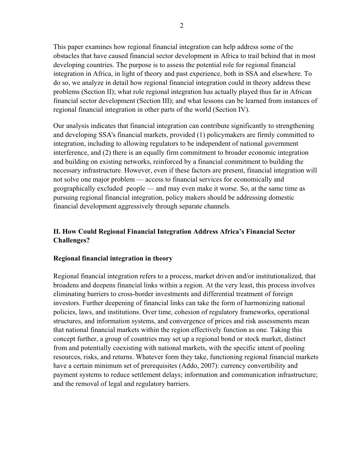This paper examines how regional financial integration can help address some of the obstacles that have caused financial sector development in Africa to trail behind that in most developing countries. The purpose is to assess the potential role for regional financial integration in Africa, in light of theory and past experience, both in SSA and elsewhere. To do so, we analyze in detail how regional financial integration could in theory address these problems (Section II); what role regional integration has actually played thus far in African financial sector development (Section III); and what lessons can be learned from instances of regional financial integration in other parts of the world (Section IV).

Our analysis indicates that financial integration can contribute significantly to strengthening and developing SSA's financial markets, provided (1) policymakers are firmly committed to integration, including to allowing regulators to be independent of national government interference, and (2) there is an equally firm commitment to broader economic integration and building on existing networks, reinforced by a financial commitment to building the necessary infrastructure. However, even if these factors are present, financial integration will not solve one major problem — access to financial services for economically and geographically excluded people — and may even make it worse. So, at the same time as pursuing regional financial integration, policy makers should be addressing domestic financial development aggressively through separate channels.

## **II. How Could Regional Financial Integration Address Africa's Financial Sector Challenges?**

#### **Regional financial integration in theory**

Regional financial integration refers to a process, market driven and/or institutionalized, that broadens and deepens financial links within a region. At the very least, this process involves eliminating barriers to cross-border investments and differential treatment of foreign investors. Further deepening of financial links can take the form of harmonizing national policies, laws, and institutions. Over time, cohesion of regulatory frameworks, operational structures, and information systems, and convergence of prices and risk assessments mean that national financial markets within the region effectively function as one. Taking this concept further, a group of countries may set up a regional bond or stock market, distinct from and potentially coexisting with national markets, with the specific intent of pooling resources, risks, and returns. Whatever form they take, functioning regional financial markets have a certain minimum set of prerequisites (Addo, 2007): currency convertibility and payment systems to reduce settlement delays; information and communication infrastructure; and the removal of legal and regulatory barriers.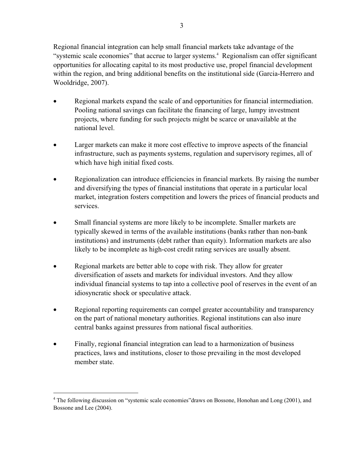Regional financial integration can help small financial markets take advantage of the "systemic scale economies" that accrue to larger systems.<sup>4</sup> Regionalism can offer significant opportunities for allocating capital to its most productive use, propel financial development within the region, and bring additional benefits on the institutional side (Garcia-Herrero and Wooldridge, 2007).

- Regional markets expand the scale of and opportunities for financial intermediation. Pooling national savings can facilitate the financing of large, lumpy investment projects, where funding for such projects might be scarce or unavailable at the national level.
- Larger markets can make it more cost effective to improve aspects of the financial infrastructure, such as payments systems, regulation and supervisory regimes, all of which have high initial fixed costs.
- Regionalization can introduce efficiencies in financial markets. By raising the number and diversifying the types of financial institutions that operate in a particular local market, integration fosters competition and lowers the prices of financial products and services.
- Small financial systems are more likely to be incomplete. Smaller markets are typically skewed in terms of the available institutions (banks rather than non-bank institutions) and instruments (debt rather than equity). Information markets are also likely to be incomplete as high-cost credit rating services are usually absent.
- Regional markets are better able to cope with risk. They allow for greater diversification of assets and markets for individual investors. And they allow individual financial systems to tap into a collective pool of reserves in the event of an idiosyncratic shock or speculative attack.
- Regional reporting requirements can compel greater accountability and transparency on the part of national monetary authorities. Regional institutions can also inure central banks against pressures from national fiscal authorities.
- Finally, regional financial integration can lead to a harmonization of business practices, laws and institutions, closer to those prevailing in the most developed member state.

<sup>&</sup>lt;sup>4</sup> The following discussion on "systemic scale economies" draws on Bossone, Honohan and Long (2001), and Bossone and Lee (2004).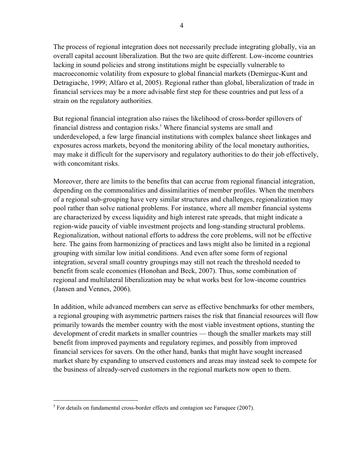The process of regional integration does not necessarily preclude integrating globally, via an overall capital account liberalization. But the two are quite different. Low-income countries lacking in sound policies and strong institutions might be especially vulnerable to macroeconomic volatility from exposure to global financial markets (Demirguc-Kunt and Detragiache, 1999; Alfaro et al, 2005). Regional rather than global, liberalization of trade in financial services may be a more advisable first step for these countries and put less of a strain on the regulatory authorities.

But regional financial integration also raises the likelihood of cross-border spillovers of financial distress and contagion risks.<sup>5</sup> Where financial systems are small and underdeveloped, a few large financial institutions with complex balance sheet linkages and exposures across markets, beyond the monitoring ability of the local monetary authorities, may make it difficult for the supervisory and regulatory authorities to do their job effectively, with concomitant risks.

Moreover, there are limits to the benefits that can accrue from regional financial integration, depending on the commonalities and dissimilarities of member profiles. When the members of a regional sub-grouping have very similar structures and challenges, regionalization may pool rather than solve national problems. For instance, where all member financial systems are characterized by excess liquidity and high interest rate spreads, that might indicate a region-wide paucity of viable investment projects and long-standing structural problems. Regionalization, without national efforts to address the core problems, will not be effective here. The gains from harmonizing of practices and laws might also be limited in a regional grouping with similar low initial conditions. And even after some form of regional integration, several small country groupings may still not reach the threshold needed to benefit from scale economies (Honohan and Beck, 2007). Thus, some combination of regional and multilateral liberalization may be what works best for low-income countries (Jansen and Vennes, 2006).

In addition, while advanced members can serve as effective benchmarks for other members, a regional grouping with asymmetric partners raises the risk that financial resources will flow primarily towards the member country with the most viable investment options, stunting the development of credit markets in smaller countries — though the smaller markets may still benefit from improved payments and regulatory regimes, and possibly from improved financial services for savers. On the other hand, banks that might have sought increased market share by expanding to unserved customers and areas may instead seek to compete for the business of already-served customers in the regional markets now open to them.

 $<sup>5</sup>$  For details on fundamental cross-border effects and contagion see Faruquee (2007).</sup>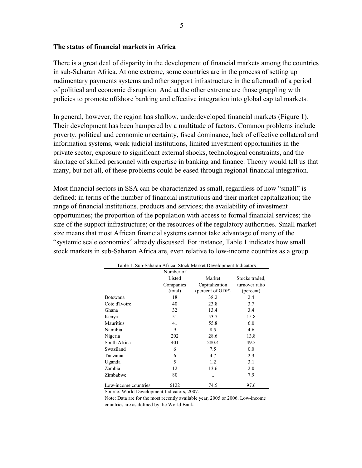#### **The status of financial markets in Africa**

There is a great deal of disparity in the development of financial markets among the countries in sub-Saharan Africa. At one extreme, some countries are in the process of setting up rudimentary payments systems and other support infrastructure in the aftermath of a period of political and economic disruption. And at the other extreme are those grappling with policies to promote offshore banking and effective integration into global capital markets.

In general, however, the region has shallow, underdeveloped financial markets (Figure 1). Their development has been hampered by a multitude of factors. Common problems include poverty, political and economic uncertainty, fiscal dominance, lack of effective collateral and information systems, weak judicial institutions, limited investment opportunities in the private sector, exposure to significant external shocks, technological constraints, and the shortage of skilled personnel with expertise in banking and finance. Theory would tell us that many, but not all, of these problems could be eased through regional financial integration.

Most financial sectors in SSA can be characterized as small, regardless of how "small" is defined: in terms of the number of financial institutions and their market capitalization; the range of financial institutions, products and services; the availability of investment opportunities; the proportion of the population with access to formal financial services; the size of the support infrastructure; or the resources of the regulatory authorities. Small market size means that most African financial systems cannot take advantage of many of the "systemic scale economies" already discussed. For instance, Table 1 indicates how small stock markets in sub-Saharan Africa are, even relative to low-income countries as a group.

| Table 1. Sub-Sanaran Alfica. Stock Market Development mulcators |           |                     |                |  |  |  |  |  |  |
|-----------------------------------------------------------------|-----------|---------------------|----------------|--|--|--|--|--|--|
|                                                                 | Number of |                     |                |  |  |  |  |  |  |
|                                                                 | Listed    | Market              | Stocks traded. |  |  |  |  |  |  |
|                                                                 | Companies | Capitalization      | turnover ratio |  |  |  |  |  |  |
|                                                                 | (total)   | (percent of $GDP$ ) | (percent)      |  |  |  |  |  |  |
| Botswana                                                        | 18        | 38.2                | 2.4            |  |  |  |  |  |  |
| Cote d'Ivoire                                                   | 40        | 23.8                | 3.7            |  |  |  |  |  |  |
| Ghana                                                           | 32        | 13.4                | 3.4            |  |  |  |  |  |  |
| Kenya                                                           | 51        | 53.7                | 15.8           |  |  |  |  |  |  |
| Mauritius                                                       | 41        | 55.8                | 6.0            |  |  |  |  |  |  |
| Namibia                                                         | 9         | 8.5                 | 4.6            |  |  |  |  |  |  |
| Nigeria                                                         | 202       | 28.6                | 13.8           |  |  |  |  |  |  |
| South Africa                                                    | 401       | 280.4               | 49.5           |  |  |  |  |  |  |
| Swaziland                                                       | 6         | 7.5                 | 0.0            |  |  |  |  |  |  |
| Tanzania                                                        | 6         | 4.7                 | 2.3            |  |  |  |  |  |  |
| Uganda                                                          | 5         | 1.2                 | 3.1            |  |  |  |  |  |  |
| Zambia                                                          | 12        | 13.6                | 2.0            |  |  |  |  |  |  |
| Zimbabwe                                                        | 80        |                     | 7.9            |  |  |  |  |  |  |
| Low-income countries                                            | 6122      | 74.5                | 97.6           |  |  |  |  |  |  |

Table 1. Sub-Saharan Africa: Stock Market Development Indicators

Source: World Development Indicators, 2007.

Note: Data are for the most recently available year, 2005 or 2006. Low-income countries are as defined by the World Bank.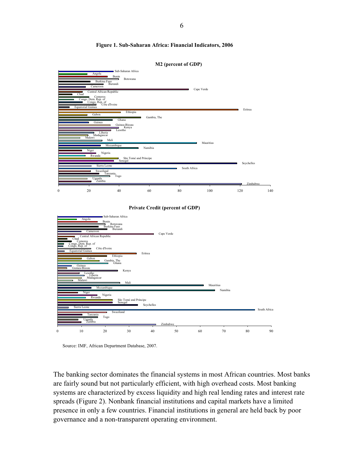#### **Figure 1. Sub-Saharan Africa: Financial Indicators, 2006**





Source: IMF, African Department Database, 2007.

The banking sector dominates the financial systems in most African countries. Most banks are fairly sound but not particularly efficient, with high overhead costs. Most banking systems are characterized by excess liquidity and high real lending rates and interest rate spreads (Figure 2). Nonbank financial institutions and capital markets have a limited presence in only a few countries. Financial institutions in general are held back by poor governance and a non-transparent operating environment.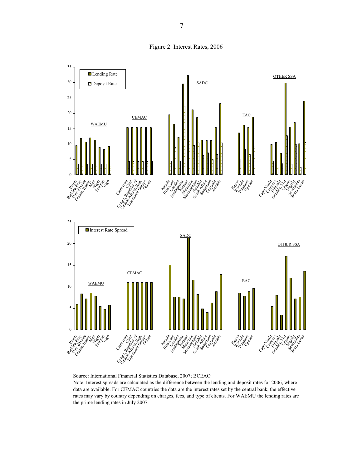Figure 2. Interest Rates, 2006



Source: International Financial Statistics Database, 2007; BCEAO

Note: Interest spreads are calculated as the difference between the lending and deposit rates for 2006, where data are available. For CEMAC countries the data are the interest rates set by the central bank, the effective rates may vary by country depending on charges, fees, and type of clients. For WAEMU the lending rates are the prime lending rates in July 2007.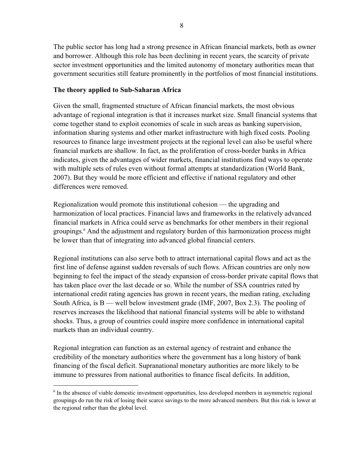The public sector has long had a strong presence in African financial markets, both as owner and borrower. Although this role has been declining in recent years, the scarcity of private sector investment opportunities and the limited autonomy of monetary authorities mean that government securities still feature prominently in the portfolios of most financial institutions.

#### **The theory applied to Sub-Saharan Africa**

Given the small, fragmented structure of African financial markets, the most obvious advantage of regional integration is that it increases market size. Small financial systems that come together stand to exploit economies of scale in such areas as banking supervision, information sharing systems and other market infrastructure with high fixed costs. Pooling resources to finance large investment projects at the regional level can also be useful where financial markets are shallow. In fact, as the proliferation of cross-border banks in Africa indicates, given the advantages of wider markets, financial institutions find ways to operate with multiple sets of rules even without formal attempts at standardization (World Bank, 2007). But they would be more efficient and effective if national regulatory and other differences were removed.

Regionalization would promote this institutional cohesion — the upgrading and harmonization of local practices. Financial laws and frameworks in the relatively advanced financial markets in Africa could serve as benchmarks for other members in their regional groupings.<sup>6</sup> And the adjustment and regulatory burden of this harmonization process might be lower than that of integrating into advanced global financial centers.

Regional institutions can also serve both to attract international capital flows and act as the first line of defense against sudden reversals of such flows. African countries are only now beginning to feel the impact of the steady expansion of cross-border private capital flows that has taken place over the last decade or so. While the number of SSA countries rated by international credit rating agencies has grown in recent years, the median rating, excluding South Africa, is B — well below investment grade (IMF, 2007, Box 2.3). The pooling of reserves increases the likelihood that national financial systems will be able to withstand shocks. Thus, a group of countries could inspire more confidence in international capital markets than an individual country.

Regional integration can function as an external agency of restraint and enhance the credibility of the monetary authorities where the government has a long history of bank financing of the fiscal deficit. Supranational monetary authorities are more likely to be immune to pressures from national authorities to finance fiscal deficits. In addition,

<sup>&</sup>lt;sup>6</sup> In the absence of viable domestic investment opportunities, less developed members in asymmetric regional groupings do run the risk of losing their scarce savings to the more advanced members. But this risk is lower at the regional rather than the global level.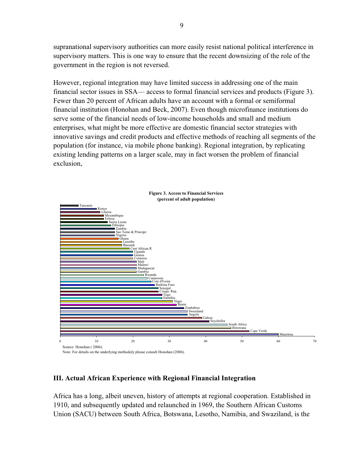supranational supervisory authorities can more easily resist national political interference in supervisory matters. This is one way to ensure that the recent downsizing of the role of the government in the region is not reversed.

However, regional integration may have limited success in addressing one of the main financial sector issues in SSA— access to formal financial services and products (Figure 3). Fewer than 20 percent of African adults have an account with a formal or semiformal financial institution (Honohan and Beck, 2007). Even though microfinance institutions do serve some of the financial needs of low-income households and small and medium enterprises, what might be more effective are domestic financial sector strategies with innovative savings and credit products and effective methods of reaching all segments of the population (for instance, via mobile phone banking). Regional integration, by replicating existing lending patterns on a larger scale, may in fact worsen the problem of financial exclusion,



#### **III. Actual African Experience with Regional Financial Integration**

Africa has a long, albeit uneven, history of attempts at regional cooperation. Established in 1910, and subsequently updated and relaunched in 1969, the Southern African Customs Union (SACU) between South Africa, Botswana, Lesotho, Namibia, and Swaziland, is the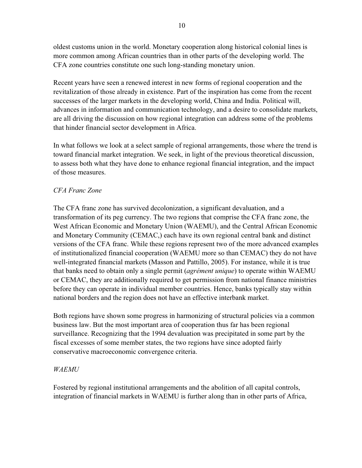oldest customs union in the world. Monetary cooperation along historical colonial lines is more common among African countries than in other parts of the developing world. The CFA zone countries constitute one such long-standing monetary union.

Recent years have seen a renewed interest in new forms of regional cooperation and the revitalization of those already in existence. Part of the inspiration has come from the recent successes of the larger markets in the developing world, China and India. Political will, advances in information and communication technology, and a desire to consolidate markets, are all driving the discussion on how regional integration can address some of the problems that hinder financial sector development in Africa.

In what follows we look at a select sample of regional arrangements, those where the trend is toward financial market integration. We seek, in light of the previous theoretical discussion, to assess both what they have done to enhance regional financial integration, and the impact of those measures.

#### *CFA Franc Zone*

The CFA franc zone has survived decolonization, a significant devaluation, and a transformation of its peg currency. The two regions that comprise the CFA franc zone, the West African Economic and Monetary Union (WAEMU), and the Central African Economic and Monetary Community (CEMAC,) each have its own regional central bank and distinct versions of the CFA franc. While these regions represent two of the more advanced examples of institutionalized financial cooperation (WAEMU more so than CEMAC) they do not have well-integrated financial markets (Masson and Pattillo, 2005). For instance, while it is true that banks need to obtain only a single permit (*agrément unique*) to operate within WAEMU or CEMAC, they are additionally required to get permission from national finance ministries before they can operate in individual member countries. Hence, banks typically stay within national borders and the region does not have an effective interbank market.

Both regions have shown some progress in harmonizing of structural policies via a common business law. But the most important area of cooperation thus far has been regional surveillance. Recognizing that the 1994 devaluation was precipitated in some part by the fiscal excesses of some member states, the two regions have since adopted fairly conservative macroeconomic convergence criteria.

#### *WAEMU*

Fostered by regional institutional arrangements and the abolition of all capital controls, integration of financial markets in WAEMU is further along than in other parts of Africa,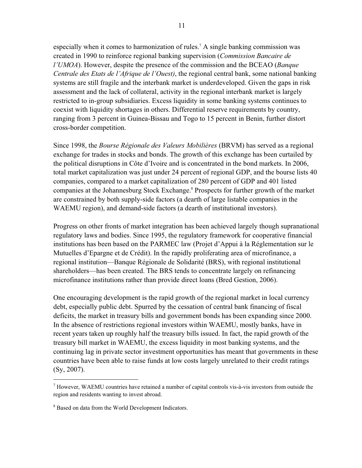especially when it comes to harmonization of rules.<sup>7</sup> A single banking commission was created in 1990 to reinforce regional banking supervision (*Commission Bancaire de l'UMOA*). However, despite the presence of the commission and the BCEAO (*Banque Centrale des Etats de l'Afrique de l'Ouest)*, the regional central bank, some national banking systems are still fragile and the interbank market is underdeveloped. Given the gaps in risk assessment and the lack of collateral, activity in the regional interbank market is largely restricted to in-group subsidiaries. Excess liquidity in some banking systems continues to coexist with liquidity shortages in others. Differential reserve requirements by country, ranging from 3 percent in Guinea-Bissau and Togo to 15 percent in Benin, further distort cross-border competition.

Since 1998, the *Bourse Régionale des Valeurs Mobilières* (BRVM) has served as a regional exchange for trades in stocks and bonds. The growth of this exchange has been curtailed by the political disruptions in Côte d'Ivoire and is concentrated in the bond markets. In 2006, total market capitalization was just under 24 percent of regional GDP, and the bourse lists 40 companies, compared to a market capitalization of 280 percent of GDP and 401 listed companies at the Johannesburg Stock Exchange.<sup>8</sup> Prospects for further growth of the market are constrained by both supply-side factors (a dearth of large listable companies in the WAEMU region), and demand-side factors (a dearth of institutional investors).

Progress on other fronts of market integration has been achieved largely though supranational regulatory laws and bodies. Since 1995, the regulatory framework for cooperative financial institutions has been based on the PARMEC law (Projet d'Appui à la Réglementation sur le Mutuelles d'Epargne et de Crédit). In the rapidly proliferating area of microfinance, a regional institution—Banque Régionale de Solidarité (BRS), with regional institutional shareholders—has been created. The BRS tends to concentrate largely on refinancing microfinance institutions rather than provide direct loans (Bred Gestion, 2006).

One encouraging development is the rapid growth of the regional market in local currency debt, especially public debt. Spurred by the cessation of central bank financing of fiscal deficits, the market in treasury bills and government bonds has been expanding since 2000. In the absence of restrictions regional investors within WAEMU, mostly banks, have in recent years taken up roughly half the treasury bills issued. In fact, the rapid growth of the treasury bill market in WAEMU, the excess liquidity in most banking systems, and the continuing lag in private sector investment opportunities has meant that governments in these countries have been able to raise funds at low costs largely unrelated to their credit ratings (Sy, 2007).

 $<sup>7</sup>$  However, WAEMU countries have retained a number of capital controls vis-à-vis investors from outside the</sup> region and residents wanting to invest abroad.

<sup>&</sup>lt;sup>8</sup> Based on data from the World Development Indicators.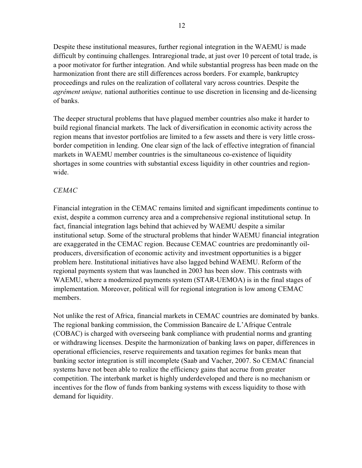Despite these institutional measures, further regional integration in the WAEMU is made difficult by continuing challenges. Intraregional trade, at just over 10 percent of total trade, is a poor motivator for further integration. And while substantial progress has been made on the harmonization front there are still differences across borders. For example, bankruptcy proceedings and rules on the realization of collateral vary across countries. Despite the *agrément unique,* national authorities continue to use discretion in licensing and de-licensing of banks.

The deeper structural problems that have plagued member countries also make it harder to build regional financial markets. The lack of diversification in economic activity across the region means that investor portfolios are limited to a few assets and there is very little crossborder competition in lending. One clear sign of the lack of effective integration of financial markets in WAEMU member countries is the simultaneous co-existence of liquidity shortages in some countries with substantial excess liquidity in other countries and regionwide.

## *CEMAC*

Financial integration in the CEMAC remains limited and significant impediments continue to exist, despite a common currency area and a comprehensive regional institutional setup. In fact, financial integration lags behind that achieved by WAEMU despite a similar institutional setup. Some of the structural problems that hinder WAEMU financial integration are exaggerated in the CEMAC region. Because CEMAC countries are predominantly oilproducers, diversification of economic activity and investment opportunities is a bigger problem here. Institutional initiatives have also lagged behind WAEMU. Reform of the regional payments system that was launched in 2003 has been slow. This contrasts with WAEMU, where a modernized payments system (STAR-UEMOA) is in the final stages of implementation. Moreover, political will for regional integration is low among CEMAC members.

Not unlike the rest of Africa, financial markets in CEMAC countries are dominated by banks. The regional banking commission, the Commission Bancaire de L'Afrique Centrale (COBAC) is charged with overseeing bank compliance with prudential norms and granting or withdrawing licenses. Despite the harmonization of banking laws on paper, differences in operational efficiencies, reserve requirements and taxation regimes for banks mean that banking sector integration is still incomplete (Saab and Vacher, 2007. So CEMAC financial systems have not been able to realize the efficiency gains that accrue from greater competition. The interbank market is highly underdeveloped and there is no mechanism or incentives for the flow of funds from banking systems with excess liquidity to those with demand for liquidity.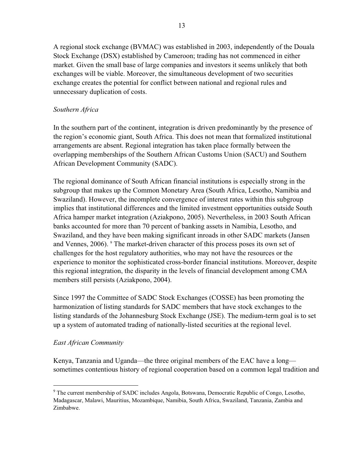A regional stock exchange (BVMAC) was established in 2003, independently of the Douala Stock Exchange (DSX) established by Cameroon; trading has not commenced in either market. Given the small base of large companies and investors it seems unlikely that both exchanges will be viable. Moreover, the simultaneous development of two securities exchange creates the potential for conflict between national and regional rules and unnecessary duplication of costs.

#### *Southern Africa*

In the southern part of the continent, integration is driven predominantly by the presence of the region's economic giant, South Africa. This does not mean that formalized institutional arrangements are absent. Regional integration has taken place formally between the overlapping memberships of the Southern African Customs Union (SACU) and Southern African Development Community (SADC).

The regional dominance of South African financial institutions is especially strong in the subgroup that makes up the Common Monetary Area (South Africa, Lesotho, Namibia and Swaziland). However, the incomplete convergence of interest rates within this subgroup implies that institutional differences and the limited investment opportunities outside South Africa hamper market integration (Aziakpono, 2005). Nevertheless, in 2003 South African banks accounted for more than 70 percent of banking assets in Namibia, Lesotho, and Swaziland, and they have been making significant inroads in other SADC markets (Jansen and Vennes, 2006). <sup>9</sup> The market-driven character of this process poses its own set of challenges for the host regulatory authorities, who may not have the resources or the experience to monitor the sophisticated cross-border financial institutions. Moreover, despite this regional integration, the disparity in the levels of financial development among CMA members still persists (Aziakpono, 2004).

Since 1997 the Committee of SADC Stock Exchanges (COSSE) has been promoting the harmonization of listing standards for SADC members that have stock exchanges to the listing standards of the Johannesburg Stock Exchange (JSE). The medium-term goal is to set up a system of automated trading of nationally-listed securities at the regional level.

#### *East African Community*

Kenya, Tanzania and Uganda—the three original members of the EAC have a long sometimes contentious history of regional cooperation based on a common legal tradition and

<sup>&</sup>lt;sup>9</sup> The current membership of SADC includes Angola, Botswana, Democratic Republic of Congo, Lesotho, Madagascar, Malawi, Mauritius, Mozambique, Namibia, South Africa, Swaziland, Tanzania, Zambia and Zimbabwe.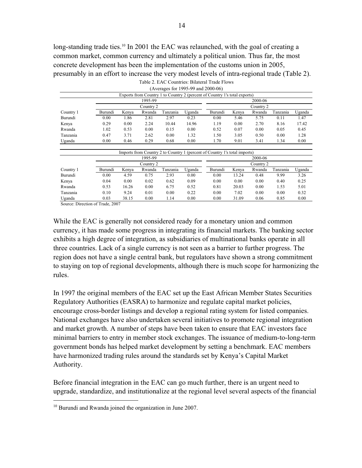long-standing trade ties.<sup>10</sup> In 2001 the EAC was relaunched, with the goal of creating a common market, common currency and ultimately a political union. Thus far, the most concrete development has been the implementation of the customs union in 2005, presumably in an effort to increase the very modest levels of intra-regional trade (Table 2). Table 2. EAC Countries: Bilateral Trade Flows

| (Averages for 1995-99 and 2000-06) |           |       |        |          |           |                                                                            |       |        |          |        |  |
|------------------------------------|-----------|-------|--------|----------|-----------|----------------------------------------------------------------------------|-------|--------|----------|--------|--|
|                                    |           |       |        |          |           | Exports from Country 1 to Country 2 (percent of Country 1's total exports) |       |        |          |        |  |
|                                    | 1995-99   |       |        |          | 2000-06   |                                                                            |       |        |          |        |  |
|                                    | Country 2 |       |        |          | Country 2 |                                                                            |       |        |          |        |  |
| Country 1                          | Burundi   | Kenya | Rwanda | Tanzania | Uganda    | Burundi                                                                    | Kenya | Rwanda | Tanzania | Uganda |  |
| Burundi                            | 0.00      | 1.86  | 2.81   | 2.97     | 0.23      | 0.00                                                                       | 5.46  | 5.75   | 0.11     | 1.47   |  |
| Kenya                              | 0.29      | 0.00  | 2.24   | 10.44    | 14.96     | 1.19                                                                       | 0.00  | 2.70   | 8.16     | 17.42  |  |
| Rwanda                             | 1.02      | 0.53  | 0.00   | 0.15     | 0.00      | 0.52                                                                       | 0.07  | 0.00   | 0.05     | 0.45   |  |
| Tanzania                           | 0.47      | 3.71  | 2.62   | 0.00     | 1.32      | 1.50                                                                       | 3.05  | 0.50   | 0.00     | 1.28   |  |
| Uganda                             | 0.00      | 0.46  | 0.29   | 0.68     | 0.00      | 1.70                                                                       | 9.01  | 3.41   | 1.34     | 0.00   |  |
|                                    |           |       |        |          |           |                                                                            |       |        |          |        |  |
|                                    |           |       |        |          |           | Imports from Country 2 to Country 1 (percent of Country 1's total imports) |       |        |          |        |  |
|                                    | 1995-99   |       |        |          | 2000-06   |                                                                            |       |        |          |        |  |
|                                    | Country 2 |       |        |          | Country 2 |                                                                            |       |        |          |        |  |
| Country 1                          | Burundi   | Kenya | Rwanda | Tanzania | Uganda    | Burundi                                                                    | Kenya | Rwanda | Tanzania | Uganda |  |
| Burundi                            | 0.00      | 4.59  | 0.75   | 2.93     | 0.00      | 0.00                                                                       | 13.24 | 0.48   | 9.99     | 3.26   |  |
| Kenya                              | 0.04      | 0.00  | 0.02   | 0.62     | 0.09      | 0.00                                                                       | 0.00  | 0.00   | 0.40     | 0.25   |  |
| Rwanda                             | 0.53      | 16.26 | 0.00   | 6.75     | 0.52      | 0.81                                                                       | 20.03 | 0.00   | 1.53     | 5.01   |  |
| Tanzania                           | 0.10      | 9.24  | 0.01   | 0.00     | 0.22      | 0.00                                                                       | 7.02  | 0.00   | 0.00     | 0.32   |  |
| Uganda                             | 0.03      | 38.15 | 0.00   | 1.14     | 0.00      | 0.00                                                                       | 31.09 | 0.06   | 0.85     | 0.00   |  |

Source: Direction of Trade, 2007

While the EAC is generally not considered ready for a monetary union and common currency, it has made some progress in integrating its financial markets. The banking sector exhibits a high degree of integration, as subsidiaries of multinational banks operate in all three countries. Lack of a single currency is not seen as a barrier to further progress. The region does not have a single central bank, but regulators have shown a strong commitment to staying on top of regional developments, although there is much scope for harmonizing the rules.

In 1997 the original members of the EAC set up the East African Member States Securities Regulatory Authorities (EASRA) to harmonize and regulate capital market policies, encourage cross-border listings and develop a regional rating system for listed companies. National exchanges have also undertaken several initiatives to promote regional integration and market growth. A number of steps have been taken to ensure that EAC investors face minimal barriers to entry in member stock exchanges. The issuance of medium-to-long-term government bonds has helped market development by setting a benchmark. EAC members have harmonized trading rules around the standards set by Kenya's Capital Market Authority.

Before financial integration in the EAC can go much further, there is an urgent need to upgrade, standardize, and institutionalize at the regional level several aspects of the financial

<sup>&</sup>lt;sup>10</sup> Burundi and Rwanda joined the organization in June 2007.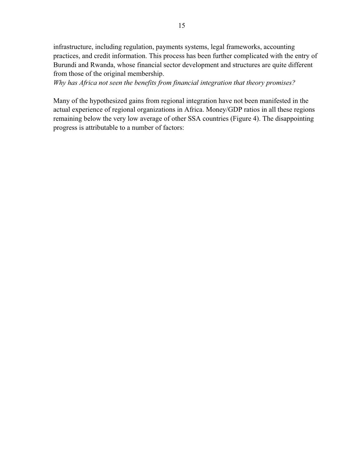infrastructure, including regulation, payments systems, legal frameworks, accounting practices, and credit information. This process has been further complicated with the entry of Burundi and Rwanda, whose financial sector development and structures are quite different from those of the original membership.

*Why has Africa not seen the benefits from financial integration that theory promises?* 

Many of the hypothesized gains from regional integration have not been manifested in the actual experience of regional organizations in Africa. Money/GDP ratios in all these regions remaining below the very low average of other SSA countries (Figure 4). The disappointing progress is attributable to a number of factors: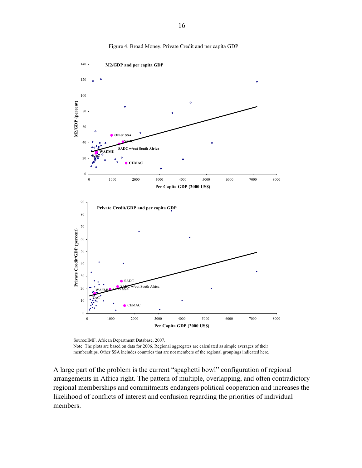

Figure 4. Broad Money, Private Credit and per capita GDP

Source:IMF, African Department Database, 2007. Note: The plots are based on data for 2006. Regional aggregates are calculated as simple averages of their memberships. Other SSA includes countries that are not members of the regional groupings indicated here.

A large part of the problem is the current "spaghetti bowl" configuration of regional arrangements in Africa right. The pattern of multiple, overlapping, and often contradictory regional memberships and commitments endangers political cooperation and increases the likelihood of conflicts of interest and confusion regarding the priorities of individual members.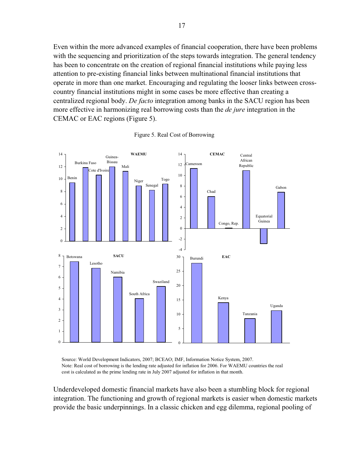Even within the more advanced examples of financial cooperation, there have been problems with the sequencing and prioritization of the steps towards integration. The general tendency has been to concentrate on the creation of regional financial institutions while paying less attention to pre-existing financial links between multinational financial institutions that operate in more than one market. Encouraging and regulating the looser links between crosscountry financial institutions might in some cases be more effective than creating a centralized regional body. *De facto* integration among banks in the SACU region has been more effective in harmonizing real borrowing costs than the *de jure* integration in the CEMAC or EAC regions (Figure 5).



Figure 5. Real Cost of Borrowing

Source: World Development Indicators, 2007; BCEAO; IMF, Information Notice System, 2007. Note: Real cost of borrowing is the lending rate adjusted for inflation for 2006. For WAEMU countries the real cost is calculated as the prime lending rate in July 2007 adjusted for inflation in that month.

Underdeveloped domestic financial markets have also been a stumbling block for regional integration. The functioning and growth of regional markets is easier when domestic markets provide the basic underpinnings. In a classic chicken and egg dilemma, regional pooling of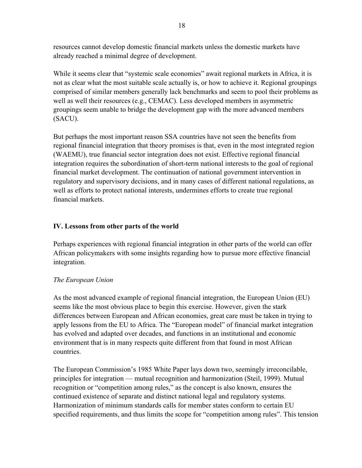resources cannot develop domestic financial markets unless the domestic markets have already reached a minimal degree of development.

While it seems clear that "systemic scale economies" await regional markets in Africa, it is not as clear what the most suitable scale actually is, or how to achieve it. Regional groupings comprised of similar members generally lack benchmarks and seem to pool their problems as well as well their resources (e.g., CEMAC). Less developed members in asymmetric groupings seem unable to bridge the development gap with the more advanced members (SACU).

But perhaps the most important reason SSA countries have not seen the benefits from regional financial integration that theory promises is that, even in the most integrated region (WAEMU), true financial sector integration does not exist. Effective regional financial integration requires the subordination of short-term national interests to the goal of regional financial market development. The continuation of national government intervention in regulatory and supervisory decisions, and in many cases of different national regulations, as well as efforts to protect national interests, undermines efforts to create true regional financial markets.

#### **IV. Lessons from other parts of the world**

Perhaps experiences with regional financial integration in other parts of the world can offer African policymakers with some insights regarding how to pursue more effective financial integration.

#### *The European Union*

As the most advanced example of regional financial integration, the European Union (EU) seems like the most obvious place to begin this exercise. However, given the stark differences between European and African economies, great care must be taken in trying to apply lessons from the EU to Africa. The "European model" of financial market integration has evolved and adapted over decades, and functions in an institutional and economic environment that is in many respects quite different from that found in most African countries.

The European Commission's 1985 White Paper lays down two, seemingly irreconcilable, principles for integration — mutual recognition and harmonization (Steil, 1999). Mutual recognition or "competition among rules," as the concept is also known, ensures the continued existence of separate and distinct national legal and regulatory systems. Harmonization of minimum standards calls for member states conform to certain EU specified requirements, and thus limits the scope for "competition among rules". This tension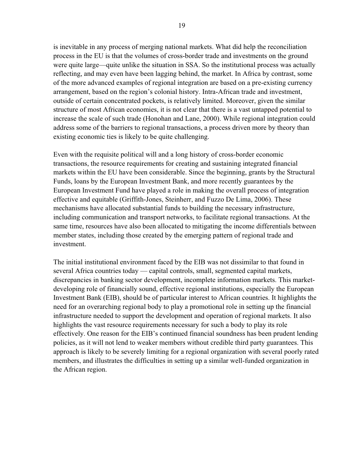is inevitable in any process of merging national markets. What did help the reconciliation process in the EU is that the volumes of cross-border trade and investments on the ground were quite large—quite unlike the situation in SSA. So the institutional process was actually reflecting, and may even have been lagging behind, the market. In Africa by contrast, some of the more advanced examples of regional integration are based on a pre-existing currency arrangement, based on the region's colonial history. Intra-African trade and investment, outside of certain concentrated pockets, is relatively limited. Moreover, given the similar structure of most African economies, it is not clear that there is a vast untapped potential to increase the scale of such trade (Honohan and Lane, 2000). While regional integration could address some of the barriers to regional transactions, a process driven more by theory than existing economic ties is likely to be quite challenging.

Even with the requisite political will and a long history of cross-border economic transactions, the resource requirements for creating and sustaining integrated financial markets within the EU have been considerable. Since the beginning, grants by the Structural Funds, loans by the European Investment Bank, and more recently guarantees by the European Investment Fund have played a role in making the overall process of integration effective and equitable (Griffith-Jones, Steinherr, and Fuzzo De Lima, 2006). These mechanisms have allocated substantial funds to building the necessary infrastructure, including communication and transport networks, to facilitate regional transactions. At the same time, resources have also been allocated to mitigating the income differentials between member states, including those created by the emerging pattern of regional trade and investment.

The initial institutional environment faced by the EIB was not dissimilar to that found in several Africa countries today — capital controls, small, segmented capital markets, discrepancies in banking sector development, incomplete information markets. This marketdeveloping role of financially sound, effective regional institutions, especially the European Investment Bank (EIB), should be of particular interest to African countries. It highlights the need for an overarching regional body to play a promotional role in setting up the financial infrastructure needed to support the development and operation of regional markets. It also highlights the vast resource requirements necessary for such a body to play its role effectively. One reason for the EIB's continued financial soundness has been prudent lending policies, as it will not lend to weaker members without credible third party guarantees. This approach is likely to be severely limiting for a regional organization with several poorly rated members, and illustrates the difficulties in setting up a similar well-funded organization in the African region.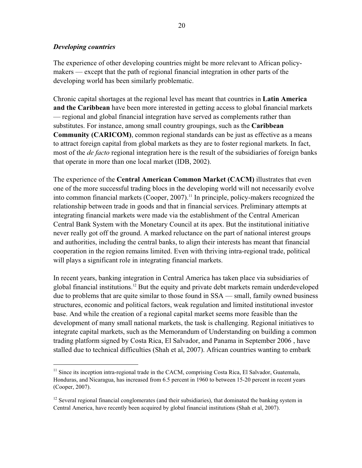#### *Developing countries*

The experience of other developing countries might be more relevant to African policymakers — except that the path of regional financial integration in other parts of the developing world has been similarly problematic.

Chronic capital shortages at the regional level has meant that countries in **Latin America and the Caribbean** have been more interested in getting access to global financial markets — regional and global financial integration have served as complements rather than substitutes. For instance, among small country groupings, such as the **Caribbean Community (CARICOM)**, common regional standards can be just as effective as a means to attract foreign capital from global markets as they are to foster regional markets. In fact, most of the *de facto* regional integration here is the result of the subsidiaries of foreign banks that operate in more than one local market (IDB, 2002).

The experience of the **Central American Common Market (CACM)** illustrates that even one of the more successful trading blocs in the developing world will not necessarily evolve into common financial markets (Cooper, 2007).<sup>11</sup> In principle, policy-makers recognized the relationship between trade in goods and that in financial services. Preliminary attempts at integrating financial markets were made via the establishment of the Central American Central Bank System with the Monetary Council at its apex. But the institutional initiative never really got off the ground. A marked reluctance on the part of national interest groups and authorities, including the central banks, to align their interests has meant that financial cooperation in the region remains limited. Even with thriving intra-regional trade, political will plays a significant role in integrating financial markets.

In recent years, banking integration in Central America has taken place via subsidiaries of global financial institutions.12 But the equity and private debt markets remain underdeveloped due to problems that are quite similar to those found in SSA — small, family owned business structures, economic and political factors, weak regulation and limited institutional investor base. And while the creation of a regional capital market seems more feasible than the development of many small national markets, the task is challenging. Regional initiatives to integrate capital markets, such as the Memorandum of Understanding on building a common trading platform signed by Costa Rica, El Salvador, and Panama in September 2006 , have stalled due to technical difficulties (Shah et al, 2007). African countries wanting to embark

<sup>&</sup>lt;sup>11</sup> Since its inception intra-regional trade in the CACM, comprising Costa Rica, El Salvador, Guatemala, Honduras, and Nicaragua, has increased from 6.5 percent in 1960 to between 15-20 percent in recent years (Cooper, 2007).

 $12$  Several regional financial conglomerates (and their subsidiaries), that dominated the banking system in Central America, have recently been acquired by global financial institutions (Shah et al, 2007).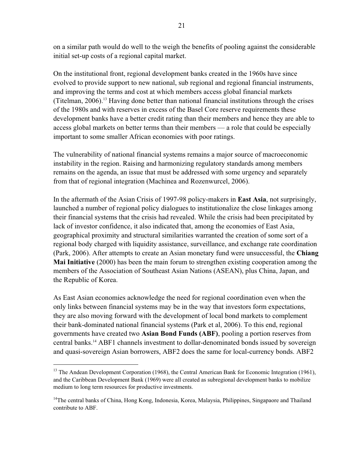on a similar path would do well to the weigh the benefits of pooling against the considerable initial set-up costs of a regional capital market.

On the institutional front, regional development banks created in the 1960s have since evolved to provide support to new national, sub regional and regional financial instruments, and improving the terms and cost at which members access global financial markets (Titelman, 2006).13 Having done better than national financial institutions through the crises of the 1980s and with reserves in excess of the Basel Core reserve requirements these development banks have a better credit rating than their members and hence they are able to access global markets on better terms than their members — a role that could be especially important to some smaller African economies with poor ratings.

The vulnerability of national financial systems remains a major source of macroeconomic instability in the region. Raising and harmonizing regulatory standards among members remains on the agenda, an issue that must be addressed with some urgency and separately from that of regional integration (Machinea and Rozenwurcel, 2006).

In the aftermath of the Asian Crisis of 1997-98 policy-makers in **East Asia**, not surprisingly, launched a number of regional policy dialogues to institutionalize the close linkages among their financial systems that the crisis had revealed. While the crisis had been precipitated by lack of investor confidence, it also indicated that, among the economies of East Asia, geographical proximity and structural similarities warranted the creation of some sort of a regional body charged with liquidity assistance, surveillance, and exchange rate coordination (Park, 2006). After attempts to create an Asian monetary fund were unsuccessful, the **Chiang Mai Initiative** (2000) has been the main forum to strengthen existing cooperation among the members of the Association of Southeast Asian Nations (ASEAN), plus China, Japan, and the Republic of Korea.

As East Asian economies acknowledge the need for regional coordination even when the only links between financial systems may be in the way that investors form expectations, they are also moving forward with the development of local bond markets to complement their bank-dominated national financial systems (Park et al, 2006). To this end, regional governments have created two **Asian Bond Funds (ABF)**, pooling a portion reserves from central banks.14 ABF1 channels investment to dollar-denominated bonds issued by sovereign and quasi-sovereign Asian borrowers, ABF2 does the same for local-currency bonds. ABF2

<sup>&</sup>lt;sup>13</sup> The Andean Development Corporation (1968), the Central American Bank for Economic Integration (1961), and the Caribbean Development Bank (1969) were all created as subregional development banks to mobilize medium to long term resources for productive investments.

<sup>&</sup>lt;sup>14</sup>The central banks of China, Hong Kong, Indonesia, Korea, Malaysia, Philippines, Singapaore and Thailand contribute to ABF.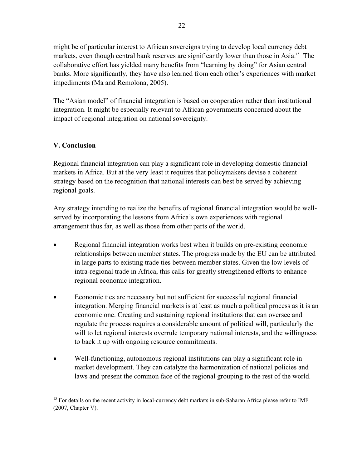might be of particular interest to African sovereigns trying to develop local currency debt markets, even though central bank reserves are significantly lower than those in Asia.<sup>15</sup> The collaborative effort has yielded many benefits from "learning by doing" for Asian central banks. More significantly, they have also learned from each other's experiences with market impediments (Ma and Remolona, 2005).

The "Asian model" of financial integration is based on cooperation rather than institutional integration. It might be especially relevant to African governments concerned about the impact of regional integration on national sovereignty.

## **V. Conclusion**

Regional financial integration can play a significant role in developing domestic financial markets in Africa. But at the very least it requires that policymakers devise a coherent strategy based on the recognition that national interests can best be served by achieving regional goals.

Any strategy intending to realize the benefits of regional financial integration would be wellserved by incorporating the lessons from Africa's own experiences with regional arrangement thus far, as well as those from other parts of the world.

- Regional financial integration works best when it builds on pre-existing economic relationships between member states. The progress made by the EU can be attributed in large parts to existing trade ties between member states. Given the low levels of intra-regional trade in Africa, this calls for greatly strengthened efforts to enhance regional economic integration.
- Economic ties are necessary but not sufficient for successful regional financial integration. Merging financial markets is at least as much a political process as it is an economic one. Creating and sustaining regional institutions that can oversee and regulate the process requires a considerable amount of political will, particularly the will to let regional interests overrule temporary national interests, and the willingness to back it up with ongoing resource commitments.
- Well-functioning, autonomous regional institutions can play a significant role in market development. They can catalyze the harmonization of national policies and laws and present the common face of the regional grouping to the rest of the world.

<sup>&</sup>lt;sup>15</sup> For details on the recent activity in local-currency debt markets in sub-Saharan Africa please refer to IMF (2007, Chapter V).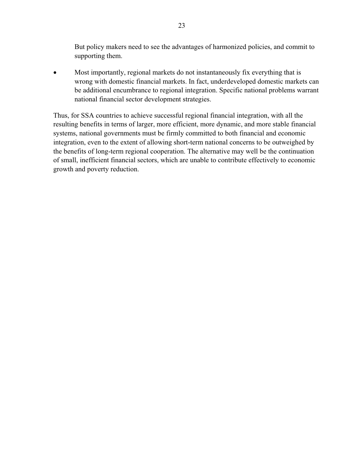But policy makers need to see the advantages of harmonized policies, and commit to supporting them.

• Most importantly, regional markets do not instantaneously fix everything that is wrong with domestic financial markets. In fact, underdeveloped domestic markets can be additional encumbrance to regional integration. Specific national problems warrant national financial sector development strategies.

Thus, for SSA countries to achieve successful regional financial integration, with all the resulting benefits in terms of larger, more efficient, more dynamic, and more stable financial systems, national governments must be firmly committed to both financial and economic integration, even to the extent of allowing short-term national concerns to be outweighed by the benefits of long-term regional cooperation. The alternative may well be the continuation of small, inefficient financial sectors, which are unable to contribute effectively to economic growth and poverty reduction.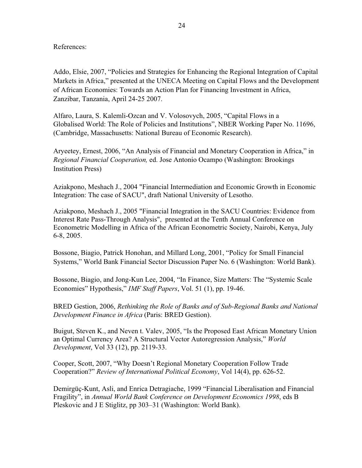#### References:

Addo, Elsie, 2007, "Policies and Strategies for Enhancing the Regional Integration of Capital Markets in Africa," presented at the UNECA Meeting on Capital Flows and the Development of African Economies: Towards an Action Plan for Financing Investment in Africa, Zanzibar, Tanzania, April 24-25 2007.

Alfaro, Laura, S. Kalemli-Ozcan and V. Volosovych, 2005, "Capital Flows in a Globalised World: The Role of Policies and Institutions", NBER Working Paper No. 11696, (Cambridge, Massachusetts: National Bureau of Economic Research).

Aryeetey, Ernest, 2006, "An Analysis of Financial and Monetary Cooperation in Africa," in *Regional Financial Cooperation,* ed. Jose Antonio Ocampo (Washington: Brookings Institution Press)

Aziakpono, Meshach J., 2004 "Financial Intermediation and Economic Growth in Economic Integration: The case of SACU", draft National University of Lesotho.

Aziakpono, Meshach J., 2005 "Financial Integration in the SACU Countries: Evidence from Interest Rate Pass-Through Analysis", presented at the Tenth Annual Conference on Econometric Modelling in Africa of the African Econometric Society, Nairobi, Kenya, July 6-8, 2005.

Bossone, Biagio, Patrick Honohan, and Millard Long, 2001, "Policy for Small Financial Systems," World Bank Financial Sector Discussion Paper No. 6 (Washington: World Bank).

Bossone, Biagio, and Jong-Kun Lee, 2004, "In Finance, Size Matters: The "Systemic Scale Economies" Hypothesis," *IMF Staff Papers*, Vol. 51 (1), pp. 19-46.

BRED Gestion, 2006, *Rethinking the Role of Banks and of Sub-Regional Banks and National Development Finance in Africa* (Paris: BRED Gestion).

Buigut, Steven K., and Neven t. Valev, 2005, "Is the Proposed East African Monetary Union an Optimal Currency Area? A Structural Vector Autoregression Analysis," *World Development*, Vol 33 (12), pp. 2119-33.

Cooper, Scott, 2007, "Why Doesn't Regional Monetary Cooperation Follow Trade Cooperation?" *Review of International Political Economy*, Vol 14(4), pp. 626-52.

Demirgüç-Kunt, Asli, and Enrica Detragiache, 1999 "Financial Liberalisation and Financial Fragility", in *Annual World Bank Conference on Development Economics 1998*, eds B Pleskovic and J E Stiglitz, pp 303–31 (Washington: World Bank).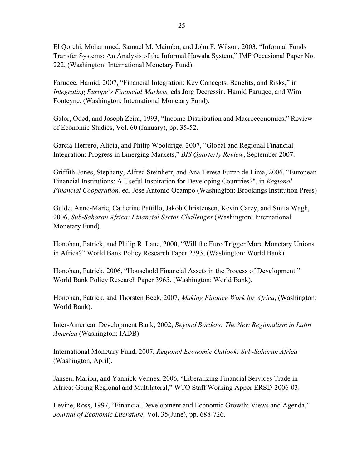El Qorchi, Mohammed, Samuel M. Maimbo, and John F. Wilson, 2003, "Informal Funds Transfer Systems: An Analysis of the Informal Hawala System," IMF Occasional Paper No. 222, (Washington: International Monetary Fund).

Faruqee, Hamid, 2007, "Financial Integration: Key Concepts, Benefits, and Risks," in *Integrating Europe's Financial Markets,* eds Jorg Decressin, Hamid Faruqee, and Wim Fonteyne, (Washington: International Monetary Fund).

Galor, Oded, and Joseph Zeira, 1993, "Income Distribution and Macroeconomics," Review of Economic Studies, Vol. 60 (January), pp. 35-52.

Garcia-Herrero, Alicia, and Philip Wooldrige, 2007, "Global and Regional Financial Integration: Progress in Emerging Markets," *BIS Quarterly Review*, September 2007.

Griffith-Jones, Stephany, Alfred Steinherr, and Ana Teresa Fuzzo de Lima, 2006, "European Financial Institutions: A Useful Inspiration for Developing Countries?", in *Regional Financial Cooperation,* ed. Jose Antonio Ocampo (Washington: Brookings Institution Press)

Gulde, Anne-Marie, Catherine Pattillo, Jakob Christensen, Kevin Carey, and Smita Wagh, 2006, *Sub-Saharan Africa: Financial Sector Challenges* (Washington: International Monetary Fund).

Honohan, Patrick, and Philip R. Lane, 2000, "Will the Euro Trigger More Monetary Unions in Africa?" World Bank Policy Research Paper 2393, (Washington: World Bank).

Honohan, Patrick, 2006, "Household Financial Assets in the Process of Development," World Bank Policy Research Paper 3965, (Washington: World Bank).

Honohan, Patrick, and Thorsten Beck, 2007, *Making Finance Work for Africa*, (Washington: World Bank).

Inter-American Development Bank, 2002, *Beyond Borders: The New Regionalism in Latin America* (Washington: IADB)

International Monetary Fund, 2007, *Regional Economic Outlook: Sub-Saharan Africa*  (Washington, April).

Jansen, Marion, and Yannick Vennes, 2006, "Liberalizing Financial Services Trade in Africa: Going Regional and Multilateral," WTO Staff Working Apper ERSD-2006-03.

Levine, Ross, 1997, "Financial Development and Economic Growth: Views and Agenda," *Journal of Economic Literature,* Vol. 35(June), pp. 688-726.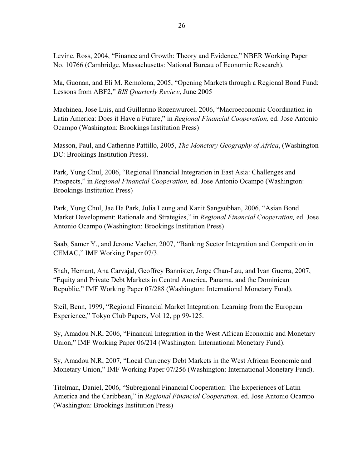Levine, Ross, 2004, "Finance and Growth: Theory and Evidence," NBER Working Paper No. 10766 (Cambridge, Massachusetts: National Bureau of Economic Research).

Ma, Guonan, and Eli M. Remolona, 2005, "Opening Markets through a Regional Bond Fund: Lessons from ABF2," *BIS Quarterly Review*, June 2005

Machinea, Jose Luis, and Guillermo Rozenwurcel, 2006, "Macroeconomic Coordination in Latin America: Does it Have a Future," in *Regional Financial Cooperation,* ed. Jose Antonio Ocampo (Washington: Brookings Institution Press)

Masson, Paul, and Catherine Pattillo, 2005, *The Monetary Geography of Africa*, (Washington DC: Brookings Institution Press).

Park, Yung Chul, 2006, "Regional Financial Integration in East Asia: Challenges and Prospects," in *Regional Financial Cooperation,* ed. Jose Antonio Ocampo (Washington: Brookings Institution Press)

Park, Yung Chul, Jae Ha Park, Julia Leung and Kanit Sangsubhan, 2006, "Asian Bond Market Development: Rationale and Strategies," in *Regional Financial Cooperation,* ed. Jose Antonio Ocampo (Washington: Brookings Institution Press)

Saab, Samer Y., and Jerome Vacher, 2007, "Banking Sector Integration and Competition in CEMAC," IMF Working Paper 07/3.

Shah, Hemant, Ana Carvajal, Geoffrey Bannister, Jorge Chan-Lau, and Ivan Guerra, 2007, "Equity and Private Debt Markets in Central America, Panama, and the Dominican Republic," IMF Working Paper 07/288 (Washington: International Monetary Fund).

Steil, Benn, 1999, "Regional Financial Market Integration: Learning from the European Experience," Tokyo Club Papers, Vol 12, pp 99-125.

Sy, Amadou N.R, 2006, "Financial Integration in the West African Economic and Monetary Union," IMF Working Paper 06/214 (Washington: International Monetary Fund).

Sy, Amadou N.R, 2007, "Local Currency Debt Markets in the West African Economic and Monetary Union," IMF Working Paper 07/256 (Washington: International Monetary Fund).

Titelman, Daniel, 2006, "Subregional Financial Cooperation: The Experiences of Latin America and the Caribbean," in *Regional Financial Cooperation,* ed. Jose Antonio Ocampo (Washington: Brookings Institution Press)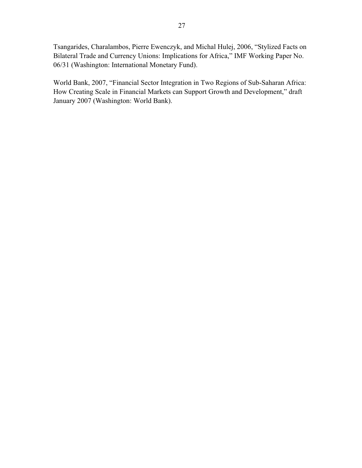Tsangarides, Charalambos, Pierre Ewenczyk, and Michal Hulej, 2006, "Stylized Facts on Bilateral Trade and Currency Unions: Implications for Africa," IMF Working Paper No. 06/31 (Washington: International Monetary Fund).

World Bank, 2007, "Financial Sector Integration in Two Regions of Sub-Saharan Africa: How Creating Scale in Financial Markets can Support Growth and Development," draft January 2007 (Washington: World Bank).